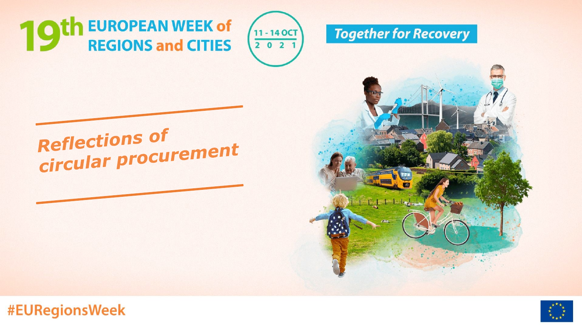**10th EUROPEAN WEEK of REGIONS and CITIES** 





**Reflections of** circular procurement



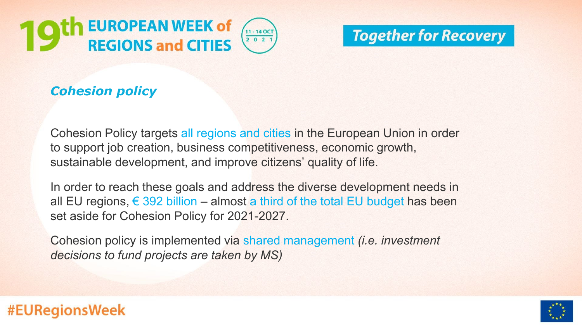



## *Cohesion policy*

Cohesion Policy targets all regions and cities in the European Union in order to support job creation, business competitiveness, economic growth, sustainable development, and improve citizens' quality of life.

In order to reach these goals and address the diverse development needs in all EU regions,  $\epsilon$  392 billion – almost a third of the total EU budget has been set aside for Cohesion Policy for 2021-2027.

Cohesion policy is implemented via shared management *(i.e. investment decisions to fund projects are taken by MS)*

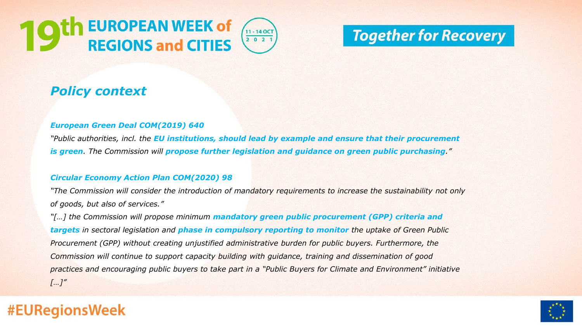



# **Together for Recovery**

## *Policy context*

#### *European Green Deal COM(2019) 640*

*"Public authorities, incl. the EU institutions, should lead by example and ensure that their procurement is green. The Commission will propose further legislation and guidance on green public purchasing."*

#### *Circular Economy Action Plan COM(2020) 98*

*"The Commission will consider the introduction of mandatory requirements to increase the sustainability not only of goods, but also of services."*

*"[…] the Commission will propose minimum mandatory green public procurement (GPP) criteria and targets in sectoral legislation and phase in compulsory reporting to monitor the uptake of Green Public Procurement (GPP) without creating unjustified administrative burden for public buyers. Furthermore, the Commission will continue to support capacity building with guidance, training and dissemination of good practices and encouraging public buyers to take part in a "Public Buyers for Climate and Environment" initiative […]"*

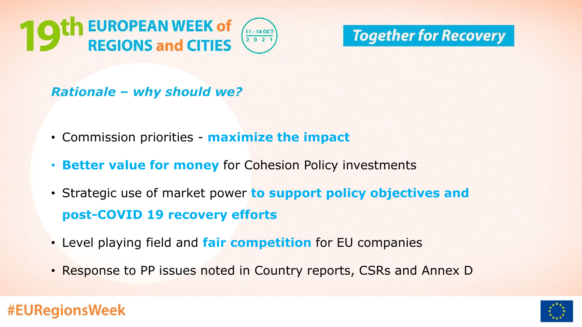**EUROPEAN WEEK of**  $11 - 140C$ **REGIONS and CITIES**  $2 0 2$ 



### *Rationale – why should we?*

- Commission priorities **maximize the impact**
- **Better value for money** for Cohesion Policy investments
- Strategic use of market power **to support policy objectives and post-COVID 19 recovery efforts**
- Level playing field and **fair competition** for EU companies
- Response to PP issues noted in Country reports, CSRs and Annex D

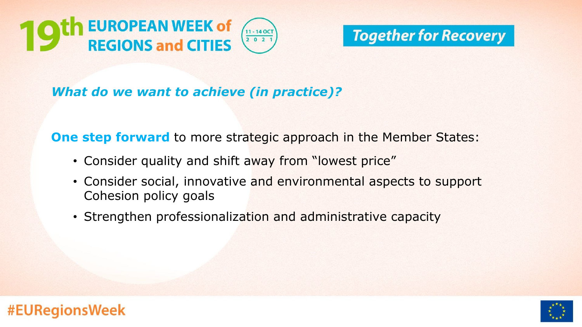

## *What do we want to achieve (in practice)?*

**One step forward** to more strategic approach in the Member States:

- Consider quality and shift away from "lowest price"
- Consider social, innovative and environmental aspects to support Cohesion policy goals
- Strengthen professionalization and administrative capacity